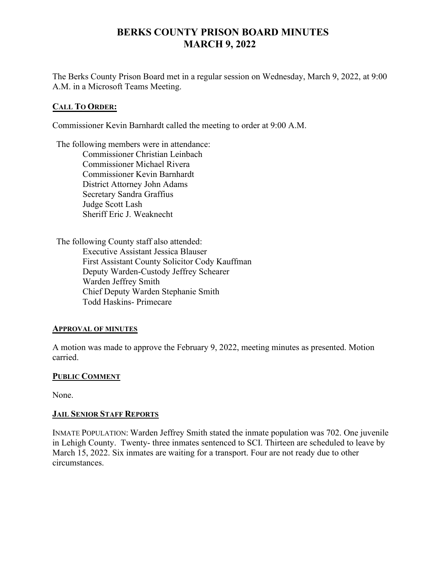# **BERKS COUNTY PRISON BOARD MINUTES MARCH 9, 2022**

The Berks County Prison Board met in a regular session on Wednesday, March 9, 2022, at 9:00 A.M. in a Microsoft Teams Meeting.

## **CALL TO ORDER:**

Commissioner Kevin Barnhardt called the meeting to order at 9:00 A.M.

The following members were in attendance: Commissioner Christian Leinbach Commissioner Michael Rivera Commissioner Kevin Barnhardt District Attorney John Adams Secretary Sandra Graffius Judge Scott Lash Sheriff Eric J. Weaknecht

The following County staff also attended: Executive Assistant Jessica Blauser First Assistant County Solicitor Cody Kauffman Deputy Warden-Custody Jeffrey Schearer Warden Jeffrey Smith Chief Deputy Warden Stephanie Smith Todd Haskins- Primecare

#### **APPROVAL OF MINUTES**

A motion was made to approve the February 9, 2022, meeting minutes as presented. Motion carried.

#### **PUBLIC COMMENT**

None.

#### **JAIL SENIOR STAFF REPORTS**

INMATE POPULATION: Warden Jeffrey Smith stated the inmate population was 702. One juvenile in Lehigh County. Twenty- three inmates sentenced to SCI. Thirteen are scheduled to leave by March 15, 2022. Six inmates are waiting for a transport. Four are not ready due to other circumstances.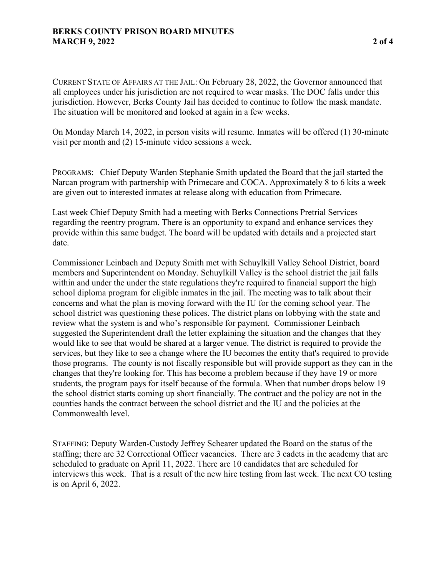CURRENT STATE OF AFFAIRS AT THE JAIL: On February 28, 2022, the Governor announced that all employees under his jurisdiction are not required to wear masks. The DOC falls under this jurisdiction. However, Berks County Jail has decided to continue to follow the mask mandate. The situation will be monitored and looked at again in a few weeks.

On Monday March 14, 2022, in person visits will resume. Inmates will be offered (1) 30-minute visit per month and (2) 15-minute video sessions a week.

PROGRAMS: Chief Deputy Warden Stephanie Smith updated the Board that the jail started the Narcan program with partnership with Primecare and COCA. Approximately 8 to 6 kits a week are given out to interested inmates at release along with education from Primecare.

Last week Chief Deputy Smith had a meeting with Berks Connections Pretrial Services regarding the reentry program. There is an opportunity to expand and enhance services they provide within this same budget. The board will be updated with details and a projected start date.

Commissioner Leinbach and Deputy Smith met with Schuylkill Valley School District, board members and Superintendent on Monday. Schuylkill Valley is the school district the jail falls within and under the under the state regulations they're required to financial support the high school diploma program for eligible inmates in the jail. The meeting was to talk about their concerns and what the plan is moving forward with the IU for the coming school year. The school district was questioning these polices. The district plans on lobbying with the state and review what the system is and who's responsible for payment. Commissioner Leinbach suggested the Superintendent draft the letter explaining the situation and the changes that they would like to see that would be shared at a larger venue. The district is required to provide the services, but they like to see a change where the IU becomes the entity that's required to provide those programs. The county is not fiscally responsible but will provide support as they can in the changes that they're looking for. This has become a problem because if they have 19 or more students, the program pays for itself because of the formula. When that number drops below 19 the school district starts coming up short financially. The contract and the policy are not in the counties hands the contract between the school district and the IU and the policies at the Commonwealth level.

STAFFING: Deputy Warden-Custody Jeffrey Schearer updated the Board on the status of the staffing; there are 32 Correctional Officer vacancies. There are 3 cadets in the academy that are scheduled to graduate on April 11, 2022. There are 10 candidates that are scheduled for interviews this week. That is a result of the new hire testing from last week. The next CO testing is on April 6, 2022.